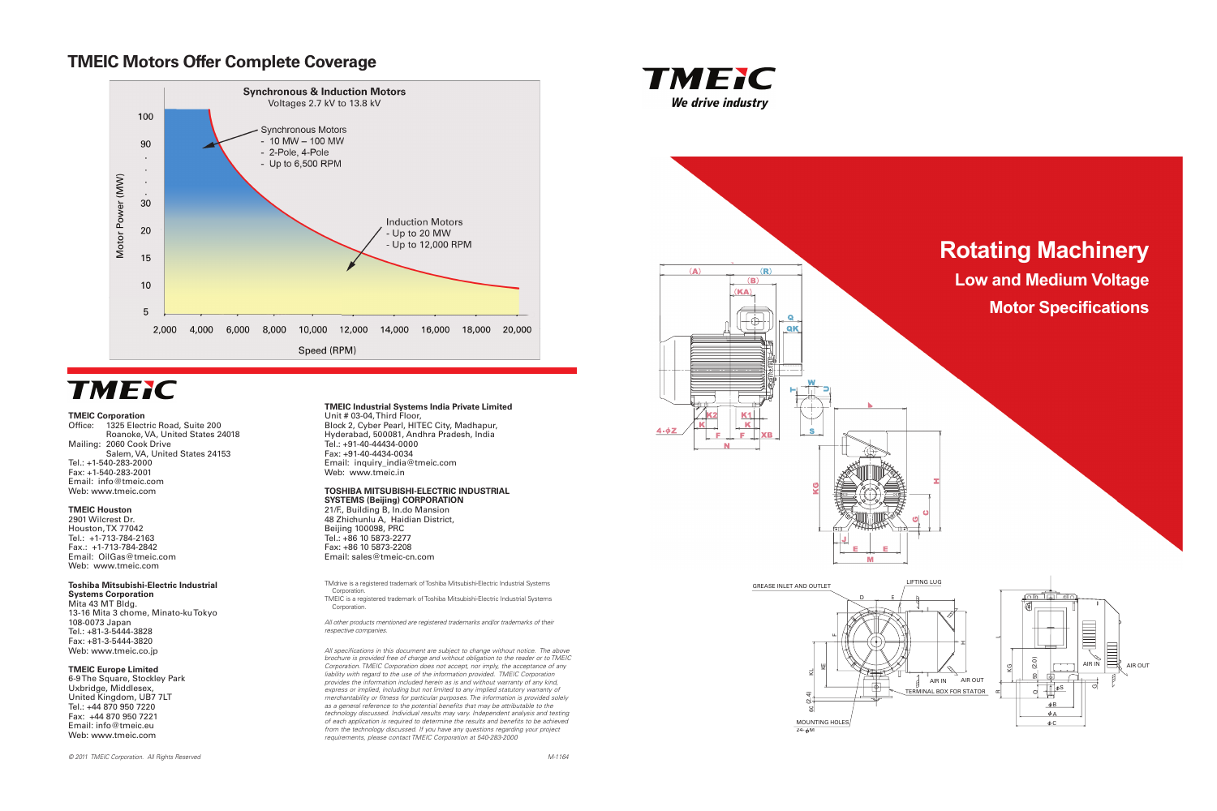### **TMEIC Motors Offer Complete Coverage**



# **TMEIC**

#### **TMEIC Corporation**

Office: 1325 Electric Road, Suite 200 Roanoke, VA, United States 24018 Mailing: 2060 Cook Drive Salem, VA, United States 24153 Tel.: +1-540-283-2000 Fax: +1-540-283-2001 Email: info@tmeic.com Web: www.tmeic.com

#### **TMEIC Houston**

2901 Wilcrest Dr. Houston, TX 77042 Tel.: +1-713-784-2163 Fax.: +1-713-784-2842 Email: OilGas@tmeic.com Web: www.tmeic.com

### **Toshiba Mitsubishi-Electric Industrial**

**Systems Corporation** Mita 43 MT Bldg. 13-16 Mita 3 chome, Minato-ku Tokyo 108-0073 Japan Tel.: +81-3-5444-3828 Fax: +81-3-5444-3820 Web: www.tmeic.co.jp

#### **TMEIC Europe Limited**

TMEIC is a registered trademark of Toshiba Mitsubishi-Electric Industrial Systems Corporation

6-9 The Square, Stockley Park Uxbridge, Middlesex, United Kingdom, UB7 7LT Tel.: +44 870 950 7220 Fax: +44 870 950 7221 Email: info@tmeic.eu Web: www.tmeic.com

#### **TMEIC Industrial Systems India Private Limited** Unit # 03-04, Third Floor,

Block 2, Cyber Pearl, HITEC City, Madhapur, Hyderabad, 500081, Andhra Pradesh, India Tel.: +91-40-44434-0000 Fax: +91-40-4434-0034 Email: inquiry\_india@tmeic.com Web: www.tmeic.in

#### **TOSHIBA MITSUBISHI-ELECTRIC INDUSTRIAL SYSTEMS (Beijing) CORPORATION**

21/F., Building B, In.do Mansion 48 Zhichunlu A, Haidian District, Beijing 100098, PRC Tel.: +86 10 5873-2277 Fax: +86 10 5873-2208 Email: sales@tmeic-cn.com

## **Rotating Machinery Low and Medium Voltage Motor Specifications**



TMdrive is a registered trademark of Toshiba Mitsubishi-Electric Industrial Systems Corporation.

All other products mentioned are registered trademarks and/or trademarks of their respective companies.

All specifications in this document are subject to change without notice. The above brochure is provided free of charge and without obligation to the reader or to TMEIC Corporation. TMEIC Corporation does not accept, nor imply, the acceptance of any liability with regard to the use of the information provided. TMEIC Corporation provides the information included herein as is and without warranty of any kind, express or implied, including but not limited to any implied statutory warranty of merchantability or fitness for particular purposes. The information is provided solely as a general reference to the potential benefits that may be attributable to the technology discussed. Individual results may vary. Independent analysis and testing of each application is required to determine the results and benefits to be achieved from the technology discussed. If you have any questions regarding your project requirements, please contact TMEIC Corporation at 540-283-2000







#### GREASE INLET AND OUTLET